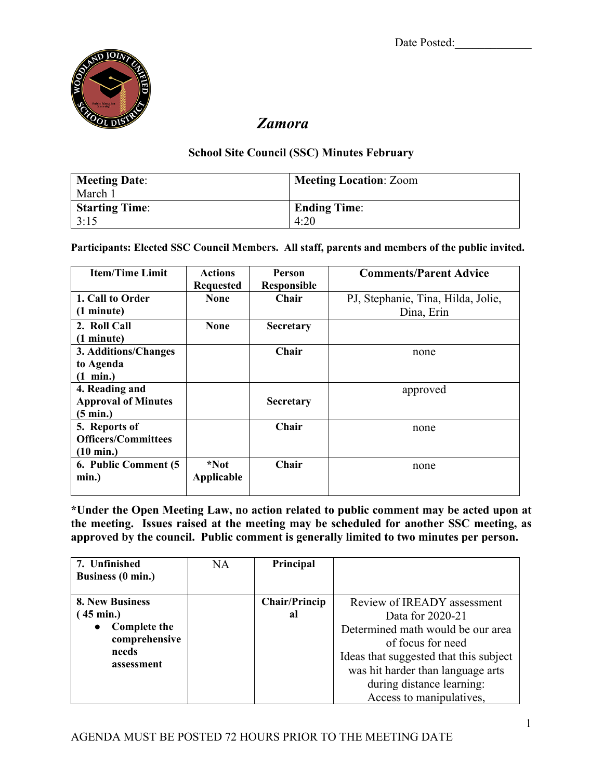

## *Zamora*

## **School Site Council (SSC) Minutes February**

| <b>Meeting Date:</b>  | <b>Meeting Location: Zoom</b> |
|-----------------------|-------------------------------|
| March 1               |                               |
| <b>Starting Time:</b> | <b>Ending Time:</b>           |
| 3:15                  | 4:20                          |

**Participants: Elected SSC Council Members. All staff, parents and members of the public invited.**

| <b>Item/Time Limit</b>     | <b>Actions</b>   | <b>Person</b>      | <b>Comments/Parent Advice</b>      |
|----------------------------|------------------|--------------------|------------------------------------|
|                            | <b>Requested</b> | <b>Responsible</b> |                                    |
| 1. Call to Order           | <b>None</b>      | <b>Chair</b>       | PJ, Stephanie, Tina, Hilda, Jolie, |
| (1 minute)                 |                  |                    | Dina, Erin                         |
| 2. Roll Call               | <b>None</b>      | <b>Secretary</b>   |                                    |
| (1 minute)                 |                  |                    |                                    |
| 3. Additions/Changes       |                  | Chair              | none                               |
| to Agenda                  |                  |                    |                                    |
| $(1 \text{ min.})$         |                  |                    |                                    |
| 4. Reading and             |                  |                    | approved                           |
| <b>Approval of Minutes</b> |                  | <b>Secretary</b>   |                                    |
| $(5 \text{ min.})$         |                  |                    |                                    |
| 5. Reports of              |                  | Chair              | none                               |
| <b>Officers/Committees</b> |                  |                    |                                    |
| $(10 \text{ min.})$        |                  |                    |                                    |
| 6. Public Comment (5       | *Not             | Chair              | none                               |
| min.)                      | Applicable       |                    |                                    |
|                            |                  |                    |                                    |

**\*Under the Open Meeting Law, no action related to public comment may be acted upon at the meeting. Issues raised at the meeting may be scheduled for another SSC meeting, as approved by the council. Public comment is generally limited to two minutes per person.**

| 7. Unfinished       | <b>NA</b> | Principal            |                                        |
|---------------------|-----------|----------------------|----------------------------------------|
| Business (0 min.)   |           |                      |                                        |
| 8. New Business     |           | <b>Chair/Princip</b> | Review of IREADY assessment            |
| $(45 \text{ min.})$ |           | al                   | Data for 2020-21                       |
| <b>Complete the</b> |           |                      | Determined math would be our area      |
| comprehensive       |           |                      | of focus for need                      |
| needs<br>assessment |           |                      | Ideas that suggested that this subject |
|                     |           |                      | was hit harder than language arts      |
|                     |           |                      | during distance learning:              |
|                     |           |                      | Access to manipulatives,               |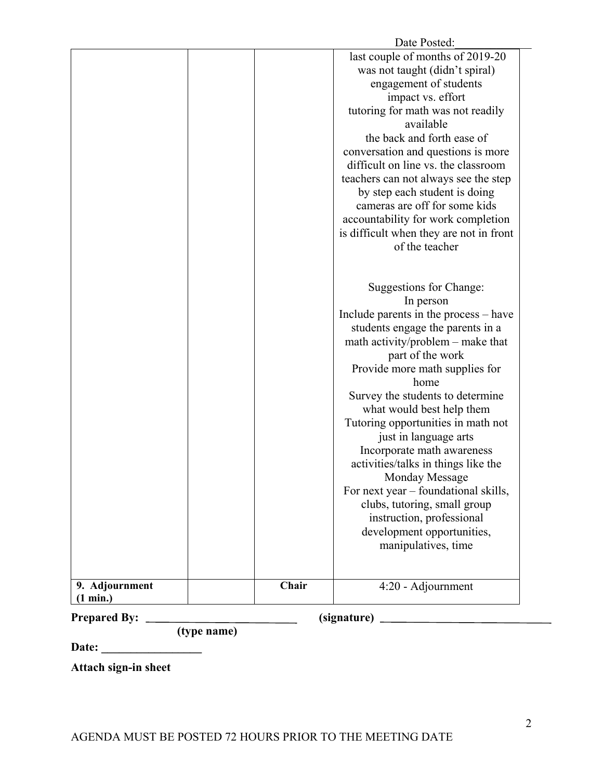| <b>Prepared By:</b><br>(signature)<br>(type name) |       |                                                                           |
|---------------------------------------------------|-------|---------------------------------------------------------------------------|
| (1 min.)                                          |       |                                                                           |
| 9. Adjournment                                    | Chair | 4:20 - Adjournment                                                        |
|                                                   |       |                                                                           |
|                                                   |       | manipulatives, time                                                       |
|                                                   |       | instruction, professional<br>development opportunities,                   |
|                                                   |       | clubs, tutoring, small group                                              |
|                                                   |       | For next year – foundational skills,                                      |
|                                                   |       | Monday Message                                                            |
|                                                   |       | Incorporate math awareness<br>activities/talks in things like the         |
|                                                   |       | just in language arts                                                     |
|                                                   |       | Tutoring opportunities in math not                                        |
|                                                   |       | what would best help them                                                 |
|                                                   |       | Survey the students to determine                                          |
|                                                   |       | Provide more math supplies for<br>home                                    |
|                                                   |       | part of the work                                                          |
|                                                   |       | math activity/problem – make that                                         |
|                                                   |       | students engage the parents in a                                          |
|                                                   |       | In person<br>Include parents in the process – have                        |
|                                                   |       | Suggestions for Change:                                                   |
|                                                   |       |                                                                           |
|                                                   |       |                                                                           |
|                                                   |       | is difficult when they are not in front<br>of the teacher                 |
|                                                   |       | accountability for work completion                                        |
|                                                   |       | cameras are off for some kids                                             |
|                                                   |       | by step each student is doing                                             |
|                                                   |       | teachers can not always see the step                                      |
|                                                   |       | conversation and questions is more<br>difficult on line vs. the classroom |
|                                                   |       | the back and forth ease of                                                |
|                                                   |       | available                                                                 |
|                                                   |       | tutoring for math was not readily                                         |
|                                                   |       | impact vs. effort                                                         |
|                                                   |       | engagement of students                                                    |
|                                                   |       | was not taught (didn't spiral)                                            |
|                                                   |       | last couple of months of 2019-20                                          |
|                                                   |       | Date Posted:                                                              |

**Date: \_\_\_\_\_\_\_\_\_\_\_\_\_\_\_\_\_**

**Attach sign-in sheet**